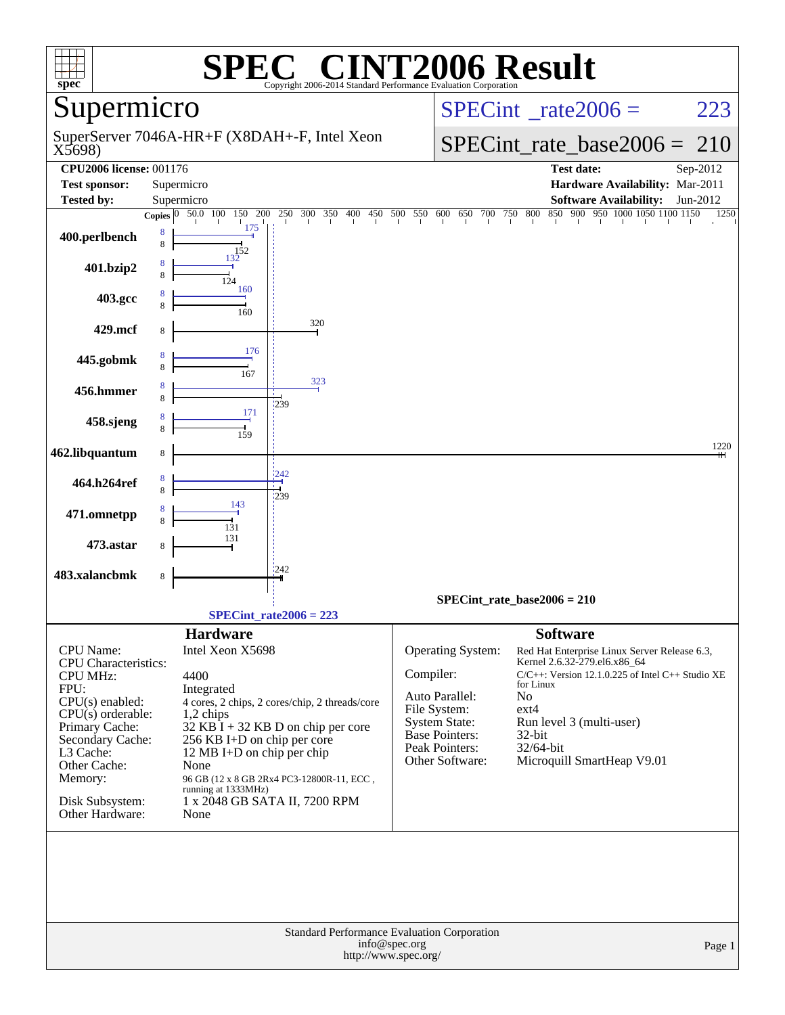| spec <sup>®</sup>                  |                                                           |                                      | Copyright 2006-2014 Standard Performance Evaluation Cornoration |           |                                               | <b>6 Result</b> |                                                       |          |  |  |  |  |
|------------------------------------|-----------------------------------------------------------|--------------------------------------|-----------------------------------------------------------------|-----------|-----------------------------------------------|-----------------|-------------------------------------------------------|----------|--|--|--|--|
| Supermicro                         |                                                           |                                      |                                                                 |           |                                               |                 | $SPECint^*_rate2006 =$                                | 223      |  |  |  |  |
| X5698)                             |                                                           |                                      | SuperServer 7046A-HR+F (X8DAH+-F, Intel Xeon                    |           |                                               |                 | $SPECint_rate_base2006 =$                             | 210      |  |  |  |  |
| <b>CPU2006 license: 001176</b>     |                                                           |                                      |                                                                 |           |                                               |                 | <b>Test date:</b>                                     | Sep-2012 |  |  |  |  |
| <b>Test sponsor:</b>               |                                                           | Supermicro                           |                                                                 |           |                                               |                 | Hardware Availability: Mar-2011                       |          |  |  |  |  |
| <b>Tested by:</b>                  |                                                           | Supermicro                           |                                                                 |           |                                               |                 | <b>Software Availability:</b>                         | Jun-2012 |  |  |  |  |
| 400.perlbench                      | Copies $ 0 $<br>8<br>8                                    | 150<br>200<br>50.0 100<br>175<br>152 | 250<br>300 350<br>400                                           | 450       | 500 550 600 650 700 750 800                   |                 | 850 900 950 1000 1050 1100 1150                       | 1250     |  |  |  |  |
| 401.bzip2                          | 8<br>8                                                    | 132<br>124                           |                                                                 |           |                                               |                 |                                                       |          |  |  |  |  |
| 403.gcc                            | 8<br>8                                                    | 160<br>160                           |                                                                 |           |                                               |                 |                                                       |          |  |  |  |  |
| 429.mcf                            | 8                                                         |                                      | 320                                                             |           |                                               |                 |                                                       |          |  |  |  |  |
| 445.gobmk                          | 8<br>8                                                    | 176<br>167                           | 323                                                             |           |                                               |                 |                                                       |          |  |  |  |  |
| 456.hmmer                          | 8<br>8                                                    | 171                                  | :239                                                            |           |                                               |                 |                                                       |          |  |  |  |  |
| 458.sjeng                          | 8<br>8                                                    | 159                                  |                                                                 |           |                                               |                 |                                                       | 1220     |  |  |  |  |
| 462.libquantum                     | 8                                                         |                                      |                                                                 |           |                                               |                 |                                                       |          |  |  |  |  |
| 464.h264ref                        | 8<br>8                                                    |                                      | 242<br>1239                                                     |           |                                               |                 |                                                       |          |  |  |  |  |
| 471.omnetpp                        | 8<br>8                                                    | 143<br>131                           |                                                                 |           |                                               |                 |                                                       |          |  |  |  |  |
| 473.astar                          | 8                                                         | 131                                  |                                                                 |           |                                               |                 |                                                       |          |  |  |  |  |
| 483.xalancbmk                      | 8                                                         |                                      | 1242                                                            |           |                                               |                 |                                                       |          |  |  |  |  |
|                                    |                                                           |                                      | $SPECint_rate2006 = 223$                                        |           | $SPECint_rate_base2006 = 210$                 |                 |                                                       |          |  |  |  |  |
|                                    |                                                           | <b>Hardware</b>                      |                                                                 |           |                                               | <b>Software</b> |                                                       |          |  |  |  |  |
| <b>CPU</b> Name:                   |                                                           | Intel Xeon X5698                     |                                                                 |           | <b>Operating System:</b>                      |                 | Red Hat Enterprise Linux Server Release 6.3,          |          |  |  |  |  |
| <b>CPU</b> Characteristics:        |                                                           |                                      |                                                                 |           |                                               |                 | Kernel 2.6.32-279.el6.x86_64                          |          |  |  |  |  |
| <b>CPU MHz:</b>                    |                                                           | 4400                                 |                                                                 | Compiler: |                                               | for Linux       | $C/C++$ : Version 12.1.0.225 of Intel $C++$ Studio XE |          |  |  |  |  |
| FPU:<br>$CPU(s)$ enabled:          |                                                           | Integrated                           | 4 cores, 2 chips, 2 cores/chip, 2 threads/core                  |           | Auto Parallel:                                | N <sub>o</sub>  |                                                       |          |  |  |  |  |
| $CPU(s)$ orderable:                |                                                           | 1,2 chips                            |                                                                 |           | File System:                                  | $ext{4}$        |                                                       |          |  |  |  |  |
| Primary Cache:                     | $32$ KB I + 32 KB D on chip per core                      |                                      |                                                                 |           | <b>System State:</b><br><b>Base Pointers:</b> | $32$ -bit       | Run level 3 (multi-user)                              |          |  |  |  |  |
| Secondary Cache:<br>L3 Cache:      | 256 KB I+D on chip per core<br>12 MB I+D on chip per chip |                                      |                                                                 |           | Peak Pointers:                                | 32/64-bit       |                                                       |          |  |  |  |  |
| Other Cache:                       | None                                                      |                                      |                                                                 |           | Other Software:                               |                 | Microquill SmartHeap V9.01                            |          |  |  |  |  |
| Memory:                            |                                                           | running at 1333MHz)                  | 96 GB (12 x 8 GB 2Rx4 PC3-12800R-11, ECC,                       |           |                                               |                 |                                                       |          |  |  |  |  |
| Disk Subsystem:<br>Other Hardware: |                                                           | None                                 | 1 x 2048 GB SATA II, 7200 RPM                                   |           |                                               |                 |                                                       |          |  |  |  |  |
|                                    |                                                           |                                      |                                                                 |           |                                               |                 |                                                       |          |  |  |  |  |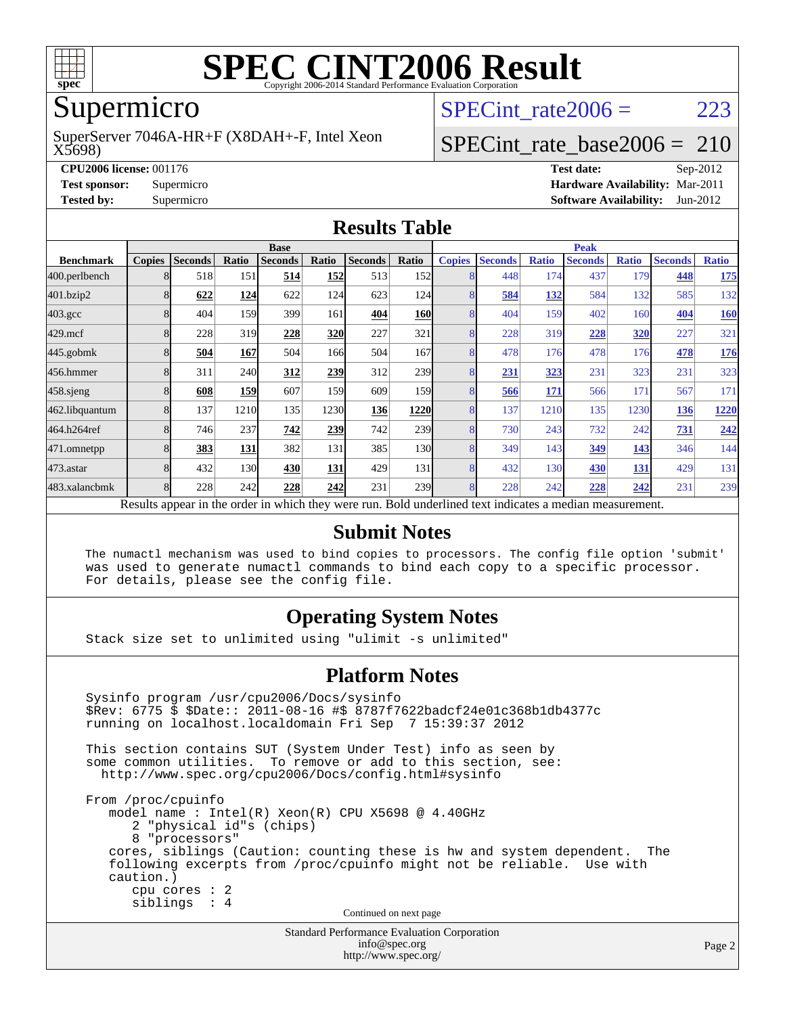

## Supermicro

X5698) SuperServer 7046A-HR+F (X8DAH+-F, Intel Xeon SPECint rate $2006 = 223$ 

### [SPECint\\_rate\\_base2006 =](http://www.spec.org/auto/cpu2006/Docs/result-fields.html#SPECintratebase2006) 210

**[CPU2006 license:](http://www.spec.org/auto/cpu2006/Docs/result-fields.html#CPU2006license)** 001176 **[Test date:](http://www.spec.org/auto/cpu2006/Docs/result-fields.html#Testdate)** Sep-2012 **[Test sponsor:](http://www.spec.org/auto/cpu2006/Docs/result-fields.html#Testsponsor)** Supermicro **[Hardware Availability:](http://www.spec.org/auto/cpu2006/Docs/result-fields.html#HardwareAvailability)** Mar-2011 **[Tested by:](http://www.spec.org/auto/cpu2006/Docs/result-fields.html#Testedby)** Supermicro **[Software Availability:](http://www.spec.org/auto/cpu2006/Docs/result-fields.html#SoftwareAvailability)** Jun-2012

#### **[Results Table](http://www.spec.org/auto/cpu2006/Docs/result-fields.html#ResultsTable)**

|                                                                                                          | <b>Base</b>             |                |       |                |       |                |                  | <b>Peak</b>   |                |              |                |              |                |              |
|----------------------------------------------------------------------------------------------------------|-------------------------|----------------|-------|----------------|-------|----------------|------------------|---------------|----------------|--------------|----------------|--------------|----------------|--------------|
| <b>Benchmark</b>                                                                                         | <b>Copies</b>           | <b>Seconds</b> | Ratio | <b>Seconds</b> | Ratio | <b>Seconds</b> | Ratio            | <b>Copies</b> | <b>Seconds</b> | <b>Ratio</b> | <b>Seconds</b> | <b>Ratio</b> | <b>Seconds</b> | <b>Ratio</b> |
| 400.perlbench                                                                                            | 8                       | 518            | 151   | 514            | 152   | 513            | <b>152</b>       | 8             | 448            | 174          | 437            | 179          | 448            | 175          |
| 401.bzip2                                                                                                | 8                       | 622            | 124   | 622            | 124   | 623            | 124              | 8             | 584            | <b>132</b>   | 584            | 132          | 585            | 132          |
| $403.\mathrm{gcc}$                                                                                       |                         | 404            | 159   | 399            | 161   | 404            | <b>160</b>       | 8             | 404            | 159          | 402            | 160          | 404            | 160          |
| $429$ .mcf                                                                                               | 8                       | 228            | 319   | 228            | 320   | 227            | 321              | 8             | 228            | 319          | 228            | <b>320</b>   | 227            | 321          |
| $445$ .gobm $k$                                                                                          | 8                       | 504            | 167   | 504            | 166   | 504            | 167              | 8             | 478            | 176          | 478            | 176          | 478            | <u>176</u>   |
| 456.hmmer                                                                                                | 8                       | 311            | 240   | 312            | 239   | 312            | 239              | 8             | 231            | 323          | 231            | 323          | 231            | 323          |
| $458$ .sjeng                                                                                             | 8                       | 608            | 159   | 607            | 159   | 609            | 159 <sub>l</sub> | 8             | 566            | 171          | 566            | 171          | 567            | 171          |
| 462.libquantum                                                                                           | 8                       | 137            | 1210  | 135            | 1230  | 136            | 1220             | 8             | 137            | 1210         | 135            | 1230         | 136            | 1220         |
| 464.h264ref                                                                                              | 8                       | 746            | 237   | 742            | 239   | 742            | 239              | 8             | 730            | 243          | 732            | 242          | 731            | 242          |
| 471.omnetpp                                                                                              |                         | 383            | 131   | 382            | 131   | 385            | 130              | 8             | 349            | 143          | 349            | 143          | 346            | 144          |
| 473.astar                                                                                                | $\mathsf{\overline{R}}$ | 432            | 130   | 430            | 131   | 429            | 131              | 8             | 432            | 130          | 430            | 131          | 429            | 131          |
| 483.xalancbmk                                                                                            | 8                       | 228            | 242   | 228            | 242   | 231            | 239              | 8             | 228            | 242          | 228            | 242          | 231            | 239          |
| Results appear in the order in which they were run. Bold underlined text indicates a median measurement. |                         |                |       |                |       |                |                  |               |                |              |                |              |                |              |

#### **[Submit Notes](http://www.spec.org/auto/cpu2006/Docs/result-fields.html#SubmitNotes)**

 The numactl mechanism was used to bind copies to processors. The config file option 'submit' was used to generate numactl commands to bind each copy to a specific processor. For details, please see the config file.

#### **[Operating System Notes](http://www.spec.org/auto/cpu2006/Docs/result-fields.html#OperatingSystemNotes)**

Stack size set to unlimited using "ulimit -s unlimited"

#### **[Platform Notes](http://www.spec.org/auto/cpu2006/Docs/result-fields.html#PlatformNotes)**

```
Standard Performance Evaluation Corporation
 Sysinfo program /usr/cpu2006/Docs/sysinfo
 $Rev: 6775 $ $Date:: 2011-08-16 #$ 8787f7622badcf24e01c368b1db4377c
 running on localhost.localdomain Fri Sep 7 15:39:37 2012
 This section contains SUT (System Under Test) info as seen by
some common utilities. To remove or add to this section, see:
  http://www.spec.org/cpu2006/Docs/config.html#sysinfo
 From /proc/cpuinfo
    model name : Intel(R) Xeon(R) CPU X5698 @ 4.40GHz
       2 "physical id"s (chips)
       8 "processors"
    cores, siblings (Caution: counting these is hw and system dependent. The
    following excerpts from /proc/cpuinfo might not be reliable. Use with
    caution.)
       cpu cores : 2
       siblings : 4
                                   Continued on next page
```
[info@spec.org](mailto:info@spec.org) <http://www.spec.org/>

Page 2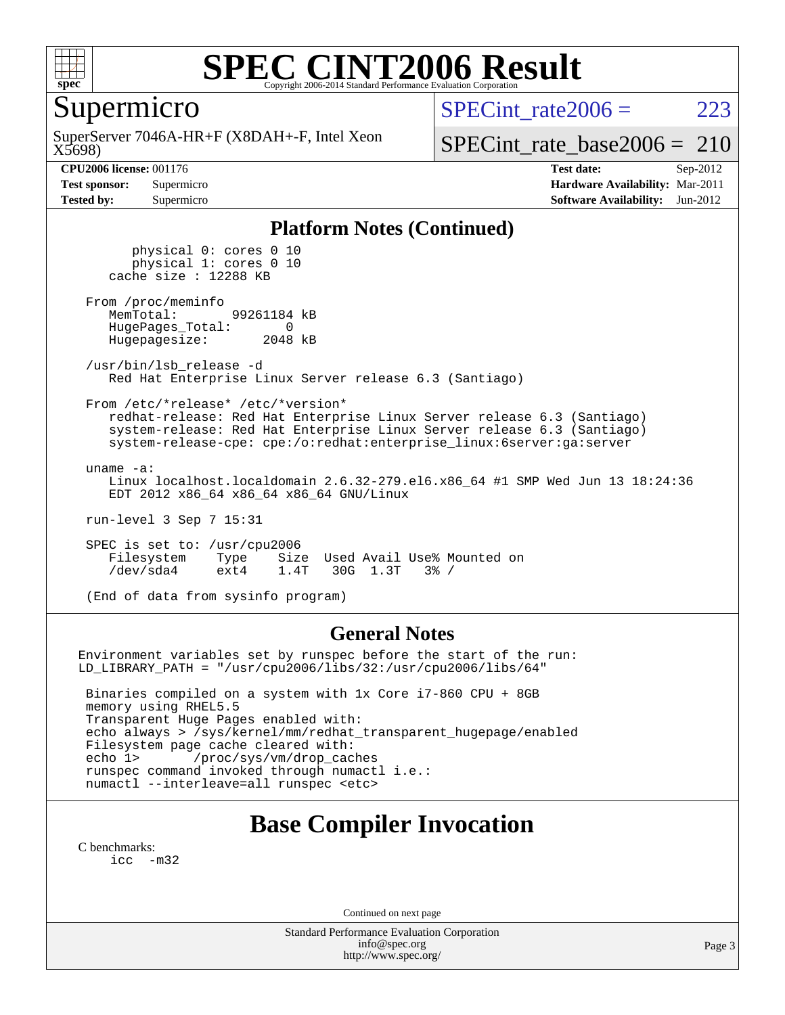

Supermicro

X5698) SuperServer 7046A-HR+F (X8DAH+-F, Intel Xeon SPECint rate $2006 = 223$ 

[SPECint\\_rate\\_base2006 =](http://www.spec.org/auto/cpu2006/Docs/result-fields.html#SPECintratebase2006) 210

**[CPU2006 license:](http://www.spec.org/auto/cpu2006/Docs/result-fields.html#CPU2006license)** 001176 **[Test date:](http://www.spec.org/auto/cpu2006/Docs/result-fields.html#Testdate)** Sep-2012 **[Test sponsor:](http://www.spec.org/auto/cpu2006/Docs/result-fields.html#Testsponsor)** Supermicro **[Hardware Availability:](http://www.spec.org/auto/cpu2006/Docs/result-fields.html#HardwareAvailability)** Mar-2011 **[Tested by:](http://www.spec.org/auto/cpu2006/Docs/result-fields.html#Testedby)** Supermicro **[Software Availability:](http://www.spec.org/auto/cpu2006/Docs/result-fields.html#SoftwareAvailability)** Jun-2012

#### **[Platform Notes \(Continued\)](http://www.spec.org/auto/cpu2006/Docs/result-fields.html#PlatformNotes)**

 physical 0: cores 0 10 physical 1: cores 0 10 cache size : 12288 KB From /proc/meminfo<br>MemTotal: 99261184 kB HugePages\_Total: 0<br>Hugepagesize: 2048 kB Hugepagesize: /usr/bin/lsb\_release -d Red Hat Enterprise Linux Server release 6.3 (Santiago) From /etc/\*release\* /etc/\*version\* redhat-release: Red Hat Enterprise Linux Server release 6.3 (Santiago) system-release: Red Hat Enterprise Linux Server release 6.3 (Santiago) system-release-cpe: cpe:/o:redhat:enterprise\_linux:6server:ga:server uname -a: Linux localhost.localdomain 2.6.32-279.el6.x86\_64 #1 SMP Wed Jun 13 18:24:36 EDT 2012 x86\_64 x86\_64 x86\_64 GNU/Linux run-level 3 Sep 7 15:31

 SPEC is set to: /usr/cpu2006 Filesystem Type Size Used Avail Use% Mounted on<br>
/dev/sda4 ext4 1.4T 30G 1.3T 3% / 30G 1.3T

(End of data from sysinfo program)

#### **[General Notes](http://www.spec.org/auto/cpu2006/Docs/result-fields.html#GeneralNotes)**

Environment variables set by runspec before the start of the run: LD\_LIBRARY\_PATH = "/usr/cpu2006/libs/32:/usr/cpu2006/libs/64"

 Binaries compiled on a system with 1x Core i7-860 CPU + 8GB memory using RHEL5.5 Transparent Huge Pages enabled with: echo always > /sys/kernel/mm/redhat\_transparent\_hugepage/enabled Filesystem page cache cleared with: echo 1> /proc/sys/vm/drop\_caches runspec command invoked through numactl i.e.: numactl --interleave=all runspec <etc>

### **[Base Compiler Invocation](http://www.spec.org/auto/cpu2006/Docs/result-fields.html#BaseCompilerInvocation)**

[C benchmarks](http://www.spec.org/auto/cpu2006/Docs/result-fields.html#Cbenchmarks): [icc -m32](http://www.spec.org/cpu2006/results/res2012q3/cpu2006-20120910-24415.flags.html#user_CCbase_intel_icc_5ff4a39e364c98233615fdd38438c6f2)

Continued on next page

Standard Performance Evaluation Corporation [info@spec.org](mailto:info@spec.org) <http://www.spec.org/>

Page 3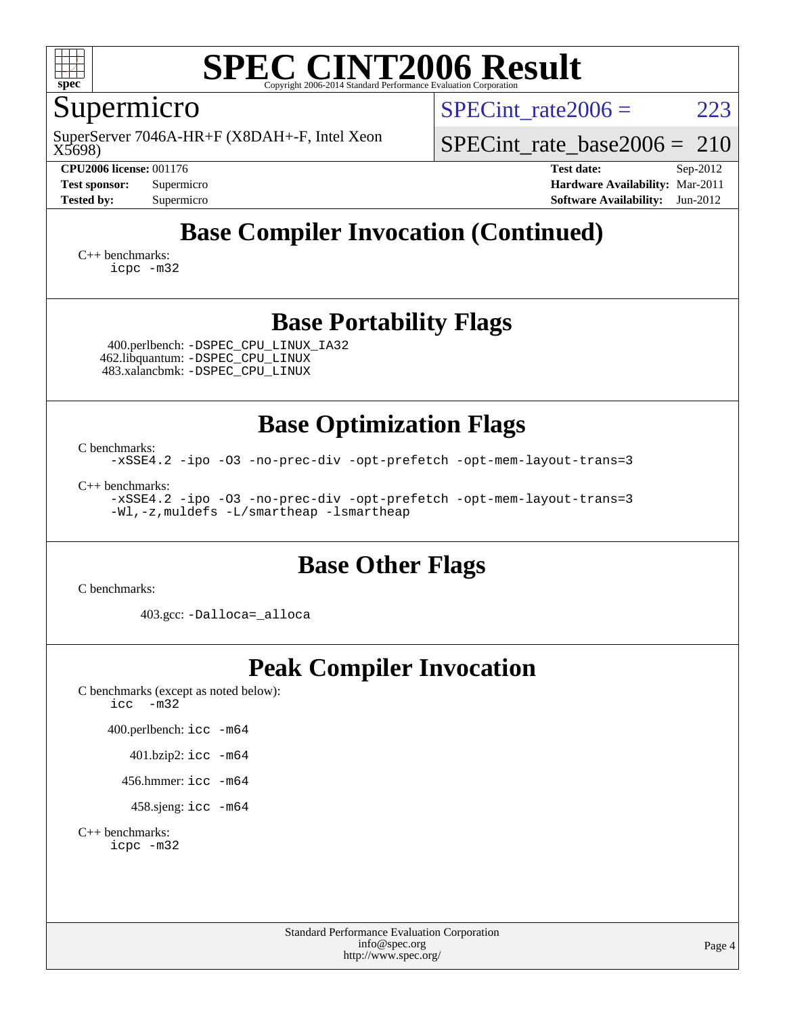

## Supermicro

X5698) SuperServer 7046A-HR+F (X8DAH+-F, Intel Xeon SPECint rate $2006 = 223$ 

[SPECint\\_rate\\_base2006 =](http://www.spec.org/auto/cpu2006/Docs/result-fields.html#SPECintratebase2006) 210

**[CPU2006 license:](http://www.spec.org/auto/cpu2006/Docs/result-fields.html#CPU2006license)** 001176 **[Test date:](http://www.spec.org/auto/cpu2006/Docs/result-fields.html#Testdate)** Sep-2012 **[Test sponsor:](http://www.spec.org/auto/cpu2006/Docs/result-fields.html#Testsponsor)** Supermicro **[Hardware Availability:](http://www.spec.org/auto/cpu2006/Docs/result-fields.html#HardwareAvailability)** Mar-2011 **[Tested by:](http://www.spec.org/auto/cpu2006/Docs/result-fields.html#Testedby)** Supermicro **[Software Availability:](http://www.spec.org/auto/cpu2006/Docs/result-fields.html#SoftwareAvailability)** Jun-2012

## **[Base Compiler Invocation \(Continued\)](http://www.spec.org/auto/cpu2006/Docs/result-fields.html#BaseCompilerInvocation)**

[C++ benchmarks:](http://www.spec.org/auto/cpu2006/Docs/result-fields.html#CXXbenchmarks) [icpc -m32](http://www.spec.org/cpu2006/results/res2012q3/cpu2006-20120910-24415.flags.html#user_CXXbase_intel_icpc_4e5a5ef1a53fd332b3c49e69c3330699)

### **[Base Portability Flags](http://www.spec.org/auto/cpu2006/Docs/result-fields.html#BasePortabilityFlags)**

 400.perlbench: [-DSPEC\\_CPU\\_LINUX\\_IA32](http://www.spec.org/cpu2006/results/res2012q3/cpu2006-20120910-24415.flags.html#b400.perlbench_baseCPORTABILITY_DSPEC_CPU_LINUX_IA32) 462.libquantum: [-DSPEC\\_CPU\\_LINUX](http://www.spec.org/cpu2006/results/res2012q3/cpu2006-20120910-24415.flags.html#b462.libquantum_baseCPORTABILITY_DSPEC_CPU_LINUX) 483.xalancbmk: [-DSPEC\\_CPU\\_LINUX](http://www.spec.org/cpu2006/results/res2012q3/cpu2006-20120910-24415.flags.html#b483.xalancbmk_baseCXXPORTABILITY_DSPEC_CPU_LINUX)

**[Base Optimization Flags](http://www.spec.org/auto/cpu2006/Docs/result-fields.html#BaseOptimizationFlags)**

[C benchmarks](http://www.spec.org/auto/cpu2006/Docs/result-fields.html#Cbenchmarks): [-xSSE4.2](http://www.spec.org/cpu2006/results/res2012q3/cpu2006-20120910-24415.flags.html#user_CCbase_f-xSSE42_f91528193cf0b216347adb8b939d4107) [-ipo](http://www.spec.org/cpu2006/results/res2012q3/cpu2006-20120910-24415.flags.html#user_CCbase_f-ipo) [-O3](http://www.spec.org/cpu2006/results/res2012q3/cpu2006-20120910-24415.flags.html#user_CCbase_f-O3) [-no-prec-div](http://www.spec.org/cpu2006/results/res2012q3/cpu2006-20120910-24415.flags.html#user_CCbase_f-no-prec-div) [-opt-prefetch](http://www.spec.org/cpu2006/results/res2012q3/cpu2006-20120910-24415.flags.html#user_CCbase_f-opt-prefetch) [-opt-mem-layout-trans=3](http://www.spec.org/cpu2006/results/res2012q3/cpu2006-20120910-24415.flags.html#user_CCbase_f-opt-mem-layout-trans_a7b82ad4bd7abf52556d4961a2ae94d5)

[C++ benchmarks:](http://www.spec.org/auto/cpu2006/Docs/result-fields.html#CXXbenchmarks) [-xSSE4.2](http://www.spec.org/cpu2006/results/res2012q3/cpu2006-20120910-24415.flags.html#user_CXXbase_f-xSSE42_f91528193cf0b216347adb8b939d4107) [-ipo](http://www.spec.org/cpu2006/results/res2012q3/cpu2006-20120910-24415.flags.html#user_CXXbase_f-ipo) [-O3](http://www.spec.org/cpu2006/results/res2012q3/cpu2006-20120910-24415.flags.html#user_CXXbase_f-O3) [-no-prec-div](http://www.spec.org/cpu2006/results/res2012q3/cpu2006-20120910-24415.flags.html#user_CXXbase_f-no-prec-div) [-opt-prefetch](http://www.spec.org/cpu2006/results/res2012q3/cpu2006-20120910-24415.flags.html#user_CXXbase_f-opt-prefetch) [-opt-mem-layout-trans=3](http://www.spec.org/cpu2006/results/res2012q3/cpu2006-20120910-24415.flags.html#user_CXXbase_f-opt-mem-layout-trans_a7b82ad4bd7abf52556d4961a2ae94d5) [-Wl,-z,muldefs](http://www.spec.org/cpu2006/results/res2012q3/cpu2006-20120910-24415.flags.html#user_CXXbase_link_force_multiple1_74079c344b956b9658436fd1b6dd3a8a) [-L/smartheap -lsmartheap](http://www.spec.org/cpu2006/results/res2012q3/cpu2006-20120910-24415.flags.html#user_CXXbase_SmartHeap_7c9e394a5779e1a7fec7c221e123830c)

### **[Base Other Flags](http://www.spec.org/auto/cpu2006/Docs/result-fields.html#BaseOtherFlags)**

[C benchmarks](http://www.spec.org/auto/cpu2006/Docs/result-fields.html#Cbenchmarks):

403.gcc: [-Dalloca=\\_alloca](http://www.spec.org/cpu2006/results/res2012q3/cpu2006-20120910-24415.flags.html#b403.gcc_baseEXTRA_CFLAGS_Dalloca_be3056838c12de2578596ca5467af7f3)

## **[Peak Compiler Invocation](http://www.spec.org/auto/cpu2006/Docs/result-fields.html#PeakCompilerInvocation)**

[C benchmarks \(except as noted below\)](http://www.spec.org/auto/cpu2006/Docs/result-fields.html#Cbenchmarksexceptasnotedbelow): [icc -m32](http://www.spec.org/cpu2006/results/res2012q3/cpu2006-20120910-24415.flags.html#user_CCpeak_intel_icc_5ff4a39e364c98233615fdd38438c6f2)

400.perlbench: [icc -m64](http://www.spec.org/cpu2006/results/res2012q3/cpu2006-20120910-24415.flags.html#user_peakCCLD400_perlbench_intel_icc_64bit_bda6cc9af1fdbb0edc3795bac97ada53)

401.bzip2: [icc -m64](http://www.spec.org/cpu2006/results/res2012q3/cpu2006-20120910-24415.flags.html#user_peakCCLD401_bzip2_intel_icc_64bit_bda6cc9af1fdbb0edc3795bac97ada53)

456.hmmer: [icc -m64](http://www.spec.org/cpu2006/results/res2012q3/cpu2006-20120910-24415.flags.html#user_peakCCLD456_hmmer_intel_icc_64bit_bda6cc9af1fdbb0edc3795bac97ada53)

458.sjeng: [icc -m64](http://www.spec.org/cpu2006/results/res2012q3/cpu2006-20120910-24415.flags.html#user_peakCCLD458_sjeng_intel_icc_64bit_bda6cc9af1fdbb0edc3795bac97ada53)

[C++ benchmarks:](http://www.spec.org/auto/cpu2006/Docs/result-fields.html#CXXbenchmarks) [icpc -m32](http://www.spec.org/cpu2006/results/res2012q3/cpu2006-20120910-24415.flags.html#user_CXXpeak_intel_icpc_4e5a5ef1a53fd332b3c49e69c3330699)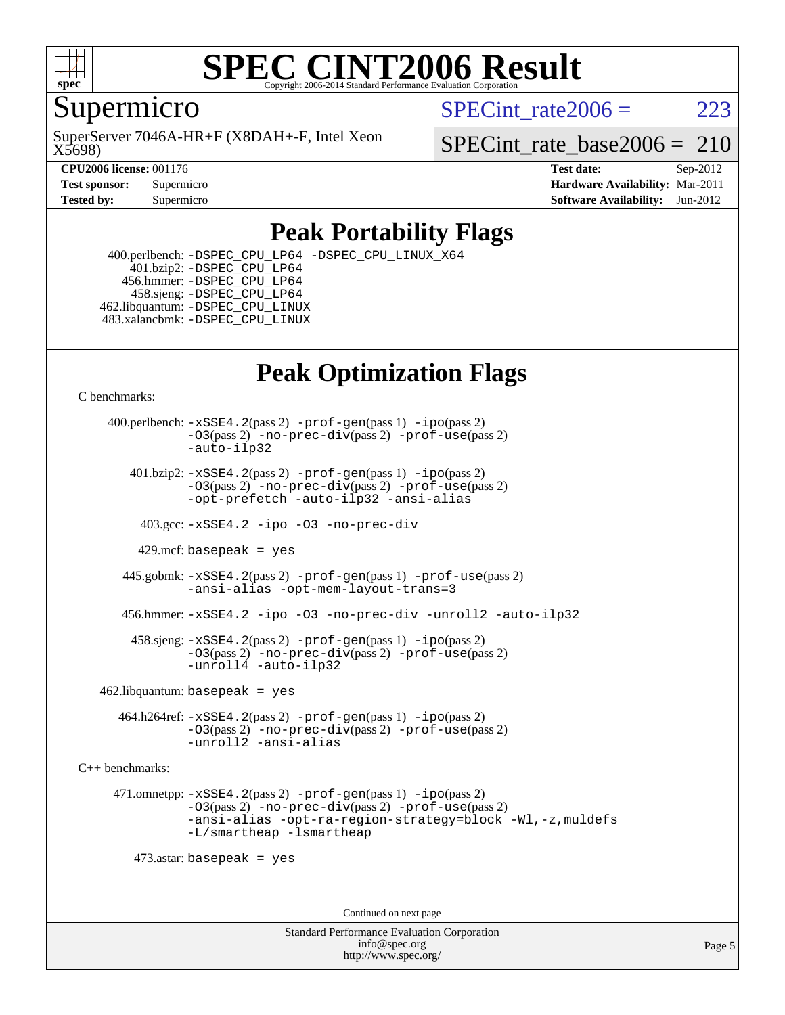

#### **[SPEC CINT2006 Result](http://www.spec.org/auto/cpu2006/Docs/result-fields.html#SPECCINT2006Result)** Copyright 2006-2014 Standard Performance Evaluation C

Supermicro

X5698) SuperServer 7046A-HR+F (X8DAH+-F, Intel Xeon SPECint rate $2006 = 223$ 

SPECint rate base2006 =  $210$ 

**[CPU2006 license:](http://www.spec.org/auto/cpu2006/Docs/result-fields.html#CPU2006license)** 001176 **[Test date:](http://www.spec.org/auto/cpu2006/Docs/result-fields.html#Testdate)** Sep-2012 **[Test sponsor:](http://www.spec.org/auto/cpu2006/Docs/result-fields.html#Testsponsor)** Supermicro **[Hardware Availability:](http://www.spec.org/auto/cpu2006/Docs/result-fields.html#HardwareAvailability)** Mar-2011 **[Tested by:](http://www.spec.org/auto/cpu2006/Docs/result-fields.html#Testedby)** Supermicro **[Software Availability:](http://www.spec.org/auto/cpu2006/Docs/result-fields.html#SoftwareAvailability)** Jun-2012

### **[Peak Portability Flags](http://www.spec.org/auto/cpu2006/Docs/result-fields.html#PeakPortabilityFlags)**

 400.perlbench: [-DSPEC\\_CPU\\_LP64](http://www.spec.org/cpu2006/results/res2012q3/cpu2006-20120910-24415.flags.html#b400.perlbench_peakCPORTABILITY_DSPEC_CPU_LP64) [-DSPEC\\_CPU\\_LINUX\\_X64](http://www.spec.org/cpu2006/results/res2012q3/cpu2006-20120910-24415.flags.html#b400.perlbench_peakCPORTABILITY_DSPEC_CPU_LINUX_X64) 401.bzip2: [-DSPEC\\_CPU\\_LP64](http://www.spec.org/cpu2006/results/res2012q3/cpu2006-20120910-24415.flags.html#suite_peakCPORTABILITY401_bzip2_DSPEC_CPU_LP64) 456.hmmer: [-DSPEC\\_CPU\\_LP64](http://www.spec.org/cpu2006/results/res2012q3/cpu2006-20120910-24415.flags.html#suite_peakCPORTABILITY456_hmmer_DSPEC_CPU_LP64) 458.sjeng: [-DSPEC\\_CPU\\_LP64](http://www.spec.org/cpu2006/results/res2012q3/cpu2006-20120910-24415.flags.html#suite_peakCPORTABILITY458_sjeng_DSPEC_CPU_LP64) 462.libquantum: [-DSPEC\\_CPU\\_LINUX](http://www.spec.org/cpu2006/results/res2012q3/cpu2006-20120910-24415.flags.html#b462.libquantum_peakCPORTABILITY_DSPEC_CPU_LINUX) 483.xalancbmk: [-DSPEC\\_CPU\\_LINUX](http://www.spec.org/cpu2006/results/res2012q3/cpu2006-20120910-24415.flags.html#b483.xalancbmk_peakCXXPORTABILITY_DSPEC_CPU_LINUX)

## **[Peak Optimization Flags](http://www.spec.org/auto/cpu2006/Docs/result-fields.html#PeakOptimizationFlags)**

[C benchmarks](http://www.spec.org/auto/cpu2006/Docs/result-fields.html#Cbenchmarks):

 400.perlbench: [-xSSE4.2](http://www.spec.org/cpu2006/results/res2012q3/cpu2006-20120910-24415.flags.html#user_peakPASS2_CFLAGSPASS2_LDCFLAGS400_perlbench_f-xSSE42_f91528193cf0b216347adb8b939d4107)(pass 2) [-prof-gen](http://www.spec.org/cpu2006/results/res2012q3/cpu2006-20120910-24415.flags.html#user_peakPASS1_CFLAGSPASS1_LDCFLAGS400_perlbench_prof_gen_e43856698f6ca7b7e442dfd80e94a8fc)(pass 1) [-ipo](http://www.spec.org/cpu2006/results/res2012q3/cpu2006-20120910-24415.flags.html#user_peakPASS2_CFLAGSPASS2_LDCFLAGS400_perlbench_f-ipo)(pass 2) [-O3](http://www.spec.org/cpu2006/results/res2012q3/cpu2006-20120910-24415.flags.html#user_peakPASS2_CFLAGSPASS2_LDCFLAGS400_perlbench_f-O3)(pass 2) [-no-prec-div](http://www.spec.org/cpu2006/results/res2012q3/cpu2006-20120910-24415.flags.html#user_peakPASS2_CFLAGSPASS2_LDCFLAGS400_perlbench_f-no-prec-div)(pass 2) [-prof-use](http://www.spec.org/cpu2006/results/res2012q3/cpu2006-20120910-24415.flags.html#user_peakPASS2_CFLAGSPASS2_LDCFLAGS400_perlbench_prof_use_bccf7792157ff70d64e32fe3e1250b55)(pass 2) [-auto-ilp32](http://www.spec.org/cpu2006/results/res2012q3/cpu2006-20120910-24415.flags.html#user_peakCOPTIMIZE400_perlbench_f-auto-ilp32)  $401.bzip2: -xSSE4.2(pass 2) -prof-qen(pass 1) -ipo(pass 2)$  $401.bzip2: -xSSE4.2(pass 2) -prof-qen(pass 1) -ipo(pass 2)$  $401.bzip2: -xSSE4.2(pass 2) -prof-qen(pass 1) -ipo(pass 2)$  $401.bzip2: -xSSE4.2(pass 2) -prof-qen(pass 1) -ipo(pass 2)$  $401.bzip2: -xSSE4.2(pass 2) -prof-qen(pass 1) -ipo(pass 2)$ [-O3](http://www.spec.org/cpu2006/results/res2012q3/cpu2006-20120910-24415.flags.html#user_peakPASS2_CFLAGSPASS2_LDCFLAGS401_bzip2_f-O3)(pass 2) [-no-prec-div](http://www.spec.org/cpu2006/results/res2012q3/cpu2006-20120910-24415.flags.html#user_peakPASS2_CFLAGSPASS2_LDCFLAGS401_bzip2_f-no-prec-div)(pass 2) [-prof-use](http://www.spec.org/cpu2006/results/res2012q3/cpu2006-20120910-24415.flags.html#user_peakPASS2_CFLAGSPASS2_LDCFLAGS401_bzip2_prof_use_bccf7792157ff70d64e32fe3e1250b55)(pass 2) [-opt-prefetch](http://www.spec.org/cpu2006/results/res2012q3/cpu2006-20120910-24415.flags.html#user_peakCOPTIMIZE401_bzip2_f-opt-prefetch) [-auto-ilp32](http://www.spec.org/cpu2006/results/res2012q3/cpu2006-20120910-24415.flags.html#user_peakCOPTIMIZE401_bzip2_f-auto-ilp32) [-ansi-alias](http://www.spec.org/cpu2006/results/res2012q3/cpu2006-20120910-24415.flags.html#user_peakCOPTIMIZE401_bzip2_f-ansi-alias) 403.gcc: [-xSSE4.2](http://www.spec.org/cpu2006/results/res2012q3/cpu2006-20120910-24415.flags.html#user_peakCOPTIMIZE403_gcc_f-xSSE42_f91528193cf0b216347adb8b939d4107) [-ipo](http://www.spec.org/cpu2006/results/res2012q3/cpu2006-20120910-24415.flags.html#user_peakCOPTIMIZE403_gcc_f-ipo) [-O3](http://www.spec.org/cpu2006/results/res2012q3/cpu2006-20120910-24415.flags.html#user_peakCOPTIMIZE403_gcc_f-O3) [-no-prec-div](http://www.spec.org/cpu2006/results/res2012q3/cpu2006-20120910-24415.flags.html#user_peakCOPTIMIZE403_gcc_f-no-prec-div) 429.mcf: basepeak = yes 445.gobmk: [-xSSE4.2](http://www.spec.org/cpu2006/results/res2012q3/cpu2006-20120910-24415.flags.html#user_peakPASS2_CFLAGSPASS2_LDCFLAGS445_gobmk_f-xSSE42_f91528193cf0b216347adb8b939d4107)(pass 2) [-prof-gen](http://www.spec.org/cpu2006/results/res2012q3/cpu2006-20120910-24415.flags.html#user_peakPASS1_CFLAGSPASS1_LDCFLAGS445_gobmk_prof_gen_e43856698f6ca7b7e442dfd80e94a8fc)(pass 1) [-prof-use](http://www.spec.org/cpu2006/results/res2012q3/cpu2006-20120910-24415.flags.html#user_peakPASS2_CFLAGSPASS2_LDCFLAGS445_gobmk_prof_use_bccf7792157ff70d64e32fe3e1250b55)(pass 2) [-ansi-alias](http://www.spec.org/cpu2006/results/res2012q3/cpu2006-20120910-24415.flags.html#user_peakCOPTIMIZE445_gobmk_f-ansi-alias) [-opt-mem-layout-trans=3](http://www.spec.org/cpu2006/results/res2012q3/cpu2006-20120910-24415.flags.html#user_peakCOPTIMIZE445_gobmk_f-opt-mem-layout-trans_a7b82ad4bd7abf52556d4961a2ae94d5) 456.hmmer: [-xSSE4.2](http://www.spec.org/cpu2006/results/res2012q3/cpu2006-20120910-24415.flags.html#user_peakCOPTIMIZE456_hmmer_f-xSSE42_f91528193cf0b216347adb8b939d4107) [-ipo](http://www.spec.org/cpu2006/results/res2012q3/cpu2006-20120910-24415.flags.html#user_peakCOPTIMIZE456_hmmer_f-ipo) [-O3](http://www.spec.org/cpu2006/results/res2012q3/cpu2006-20120910-24415.flags.html#user_peakCOPTIMIZE456_hmmer_f-O3) [-no-prec-div](http://www.spec.org/cpu2006/results/res2012q3/cpu2006-20120910-24415.flags.html#user_peakCOPTIMIZE456_hmmer_f-no-prec-div) [-unroll2](http://www.spec.org/cpu2006/results/res2012q3/cpu2006-20120910-24415.flags.html#user_peakCOPTIMIZE456_hmmer_f-unroll_784dae83bebfb236979b41d2422d7ec2) [-auto-ilp32](http://www.spec.org/cpu2006/results/res2012q3/cpu2006-20120910-24415.flags.html#user_peakCOPTIMIZE456_hmmer_f-auto-ilp32) 458.sjeng: [-xSSE4.2](http://www.spec.org/cpu2006/results/res2012q3/cpu2006-20120910-24415.flags.html#user_peakPASS2_CFLAGSPASS2_LDCFLAGS458_sjeng_f-xSSE42_f91528193cf0b216347adb8b939d4107)(pass 2) [-prof-gen](http://www.spec.org/cpu2006/results/res2012q3/cpu2006-20120910-24415.flags.html#user_peakPASS1_CFLAGSPASS1_LDCFLAGS458_sjeng_prof_gen_e43856698f6ca7b7e442dfd80e94a8fc)(pass 1) [-ipo](http://www.spec.org/cpu2006/results/res2012q3/cpu2006-20120910-24415.flags.html#user_peakPASS2_CFLAGSPASS2_LDCFLAGS458_sjeng_f-ipo)(pass 2) [-O3](http://www.spec.org/cpu2006/results/res2012q3/cpu2006-20120910-24415.flags.html#user_peakPASS2_CFLAGSPASS2_LDCFLAGS458_sjeng_f-O3)(pass 2) [-no-prec-div](http://www.spec.org/cpu2006/results/res2012q3/cpu2006-20120910-24415.flags.html#user_peakPASS2_CFLAGSPASS2_LDCFLAGS458_sjeng_f-no-prec-div)(pass 2) [-prof-use](http://www.spec.org/cpu2006/results/res2012q3/cpu2006-20120910-24415.flags.html#user_peakPASS2_CFLAGSPASS2_LDCFLAGS458_sjeng_prof_use_bccf7792157ff70d64e32fe3e1250b55)(pass 2) [-unroll4](http://www.spec.org/cpu2006/results/res2012q3/cpu2006-20120910-24415.flags.html#user_peakCOPTIMIZE458_sjeng_f-unroll_4e5e4ed65b7fd20bdcd365bec371b81f) [-auto-ilp32](http://www.spec.org/cpu2006/results/res2012q3/cpu2006-20120910-24415.flags.html#user_peakCOPTIMIZE458_sjeng_f-auto-ilp32)  $462$ .libquantum: basepeak = yes 464.h264ref: [-xSSE4.2](http://www.spec.org/cpu2006/results/res2012q3/cpu2006-20120910-24415.flags.html#user_peakPASS2_CFLAGSPASS2_LDCFLAGS464_h264ref_f-xSSE42_f91528193cf0b216347adb8b939d4107)(pass 2) [-prof-gen](http://www.spec.org/cpu2006/results/res2012q3/cpu2006-20120910-24415.flags.html#user_peakPASS1_CFLAGSPASS1_LDCFLAGS464_h264ref_prof_gen_e43856698f6ca7b7e442dfd80e94a8fc)(pass 1) [-ipo](http://www.spec.org/cpu2006/results/res2012q3/cpu2006-20120910-24415.flags.html#user_peakPASS2_CFLAGSPASS2_LDCFLAGS464_h264ref_f-ipo)(pass 2) [-O3](http://www.spec.org/cpu2006/results/res2012q3/cpu2006-20120910-24415.flags.html#user_peakPASS2_CFLAGSPASS2_LDCFLAGS464_h264ref_f-O3)(pass 2) [-no-prec-div](http://www.spec.org/cpu2006/results/res2012q3/cpu2006-20120910-24415.flags.html#user_peakPASS2_CFLAGSPASS2_LDCFLAGS464_h264ref_f-no-prec-div)(pass 2) [-prof-use](http://www.spec.org/cpu2006/results/res2012q3/cpu2006-20120910-24415.flags.html#user_peakPASS2_CFLAGSPASS2_LDCFLAGS464_h264ref_prof_use_bccf7792157ff70d64e32fe3e1250b55)(pass 2) [-unroll2](http://www.spec.org/cpu2006/results/res2012q3/cpu2006-20120910-24415.flags.html#user_peakCOPTIMIZE464_h264ref_f-unroll_784dae83bebfb236979b41d2422d7ec2) [-ansi-alias](http://www.spec.org/cpu2006/results/res2012q3/cpu2006-20120910-24415.flags.html#user_peakCOPTIMIZE464_h264ref_f-ansi-alias) [C++ benchmarks:](http://www.spec.org/auto/cpu2006/Docs/result-fields.html#CXXbenchmarks) 471.omnetpp: [-xSSE4.2](http://www.spec.org/cpu2006/results/res2012q3/cpu2006-20120910-24415.flags.html#user_peakPASS2_CXXFLAGSPASS2_LDCXXFLAGS471_omnetpp_f-xSSE42_f91528193cf0b216347adb8b939d4107)(pass 2) [-prof-gen](http://www.spec.org/cpu2006/results/res2012q3/cpu2006-20120910-24415.flags.html#user_peakPASS1_CXXFLAGSPASS1_LDCXXFLAGS471_omnetpp_prof_gen_e43856698f6ca7b7e442dfd80e94a8fc)(pass 1) [-ipo](http://www.spec.org/cpu2006/results/res2012q3/cpu2006-20120910-24415.flags.html#user_peakPASS2_CXXFLAGSPASS2_LDCXXFLAGS471_omnetpp_f-ipo)(pass 2) [-O3](http://www.spec.org/cpu2006/results/res2012q3/cpu2006-20120910-24415.flags.html#user_peakPASS2_CXXFLAGSPASS2_LDCXXFLAGS471_omnetpp_f-O3)(pass 2) [-no-prec-div](http://www.spec.org/cpu2006/results/res2012q3/cpu2006-20120910-24415.flags.html#user_peakPASS2_CXXFLAGSPASS2_LDCXXFLAGS471_omnetpp_f-no-prec-div)(pass 2) [-prof-use](http://www.spec.org/cpu2006/results/res2012q3/cpu2006-20120910-24415.flags.html#user_peakPASS2_CXXFLAGSPASS2_LDCXXFLAGS471_omnetpp_prof_use_bccf7792157ff70d64e32fe3e1250b55)(pass 2) [-ansi-alias](http://www.spec.org/cpu2006/results/res2012q3/cpu2006-20120910-24415.flags.html#user_peakCXXOPTIMIZE471_omnetpp_f-ansi-alias) [-opt-ra-region-strategy=block](http://www.spec.org/cpu2006/results/res2012q3/cpu2006-20120910-24415.flags.html#user_peakCXXOPTIMIZE471_omnetpp_f-opt-ra-region-strategy_a0a37c372d03933b2a18d4af463c1f69) [-Wl,-z,muldefs](http://www.spec.org/cpu2006/results/res2012q3/cpu2006-20120910-24415.flags.html#user_peakEXTRA_LDFLAGS471_omnetpp_link_force_multiple1_74079c344b956b9658436fd1b6dd3a8a) [-L/smartheap -lsmartheap](http://www.spec.org/cpu2006/results/res2012q3/cpu2006-20120910-24415.flags.html#user_peakEXTRA_LIBS471_omnetpp_SmartHeap_7c9e394a5779e1a7fec7c221e123830c) 473.astar: basepeak = yes

Continued on next page

Standard Performance Evaluation Corporation [info@spec.org](mailto:info@spec.org) <http://www.spec.org/>